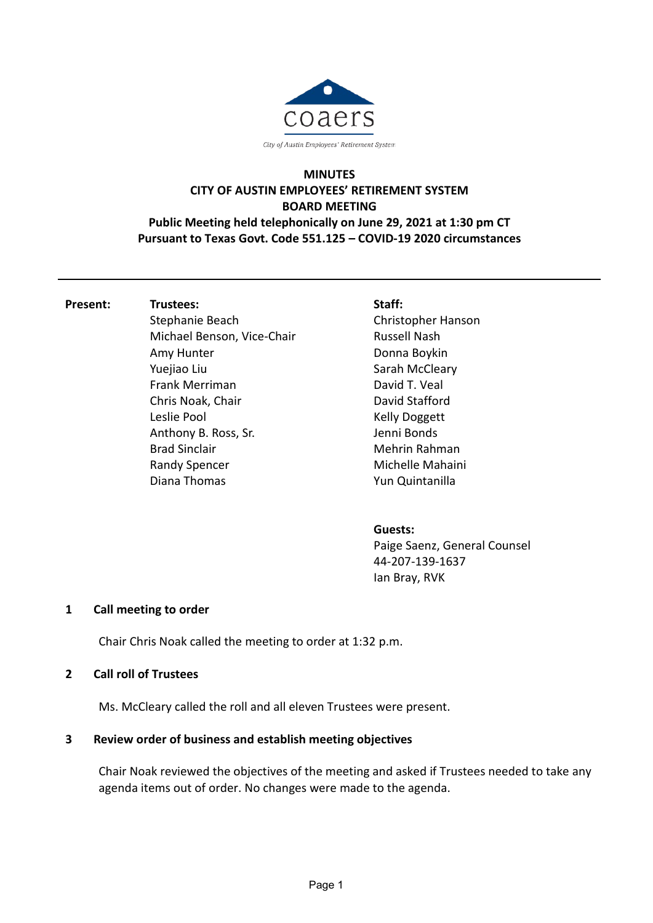

# **MINUTES CITY OF AUSTIN EMPLOYEES' RETIREMENT SYSTEM BOARD MEETING Public Meeting held telephonically on June 29, 2021 at 1:30 pm CT**

**Pursuant to Texas Govt. Code 551.125 – COVID-19 2020 circumstances**

**Present: Trustees:**

Stephanie Beach Michael Benson, Vice-Chair Amy Hunter Yuejiao Liu Frank Merriman Chris Noak, Chair Leslie Pool Anthony B. Ross, Sr. Brad Sinclair Randy Spencer Diana Thomas

### **Staff:**

Christopher Hanson Russell Nash Donna Boykin Sarah McCleary David T. Veal David Stafford Kelly Doggett Jenni Bonds Mehrin Rahman Michelle Mahaini Yun Quintanilla

## **Guests:**

Paige Saenz, General Counsel 44-207-139-1637 Ian Bray, RVK

## **1 Call meeting to order**

Chair Chris Noak called the meeting to order at 1:32 p.m.

#### **2 Call roll of Trustees**

Ms. McCleary called the roll and all eleven Trustees were present.

## **3 Review order of business and establish meeting objectives**

Chair Noak reviewed the objectives of the meeting and asked if Trustees needed to take any agenda items out of order. No changes were made to the agenda.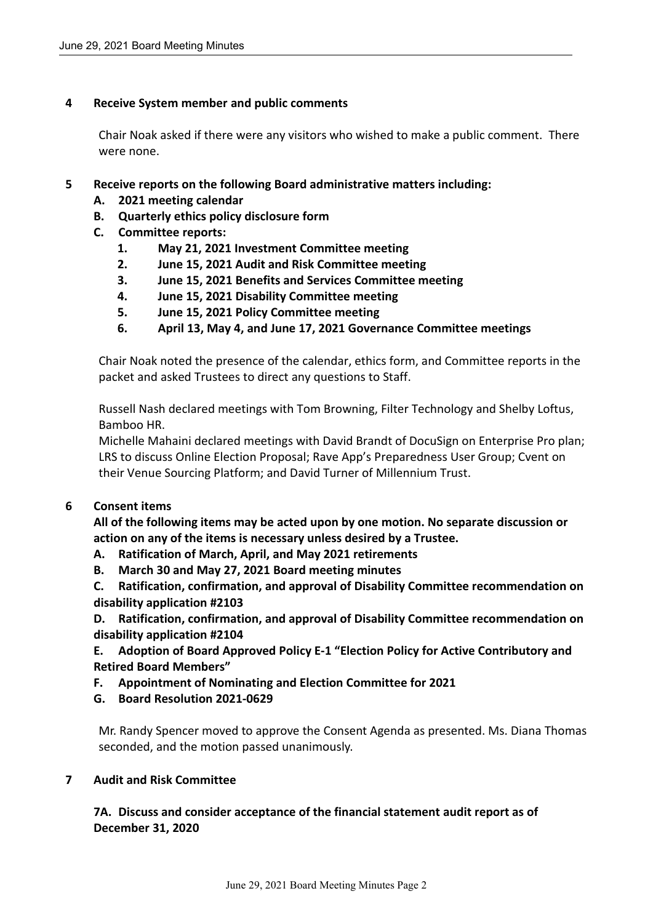### **4 Receive System member and public comments**

Chair Noak asked if there were any visitors who wished to make a public comment. There were none.

### **5 Receive reports on the following Board administrative matters including:**

- **A. 2021 meeting calendar**
- **B. Quarterly ethics policy disclosure form**
- **C. Committee reports:**
	- **1. May 21, 2021 Investment Committee meeting**
	- **2. June 15, 2021 Audit and Risk Committee meeting**
	- **3. June 15, 2021 Benefits and Services Committee meeting**
	- **4. June 15, 2021 Disability Committee meeting**
	- **5. June 15, 2021 Policy Committee meeting**
	- **6. April 13, May 4, and June 17, 2021 Governance Committee meetings**

Chair Noak noted the presence of the calendar, ethics form, and Committee reports in the packet and asked Trustees to direct any questions to Staff.

Russell Nash declared meetings with Tom Browning, Filter Technology and Shelby Loftus, Bamboo HR.

Michelle Mahaini declared meetings with David Brandt of DocuSign on Enterprise Pro plan; LRS to discuss Online Election Proposal; Rave App's Preparedness User Group; Cvent on their Venue Sourcing Platform; and David Turner of Millennium Trust.

#### **6 Consent items**

**All of the following items may be acted upon by one motion. No separate discussion or action on any of the items is necessary unless desired by a Trustee.**

- **A. Ratification of March, April, and May 2021 retirements**
- **B. March 30 and May 27, 2021 Board meeting minutes**
- **C. Ratification, confirmation, and approval of Disability Committee recommendation on disability application #2103**

**D. Ratification, confirmation, and approval of Disability Committee recommendation on disability application #2104**

**E. Adoption of Board Approved Policy E-1 "Election Policy for Active Contributory and Retired Board Members"**

- **F. Appointment of Nominating and Election Committee for 2021**
- **G. Board Resolution 2021-0629**

Mr. Randy Spencer moved to approve the Consent Agenda as presented. Ms. Diana Thomas seconded, and the motion passed unanimously.

#### **7 Audit and Risk Committee**

**7A. Discuss and consider acceptance of the financial statement audit report as of December 31, 2020**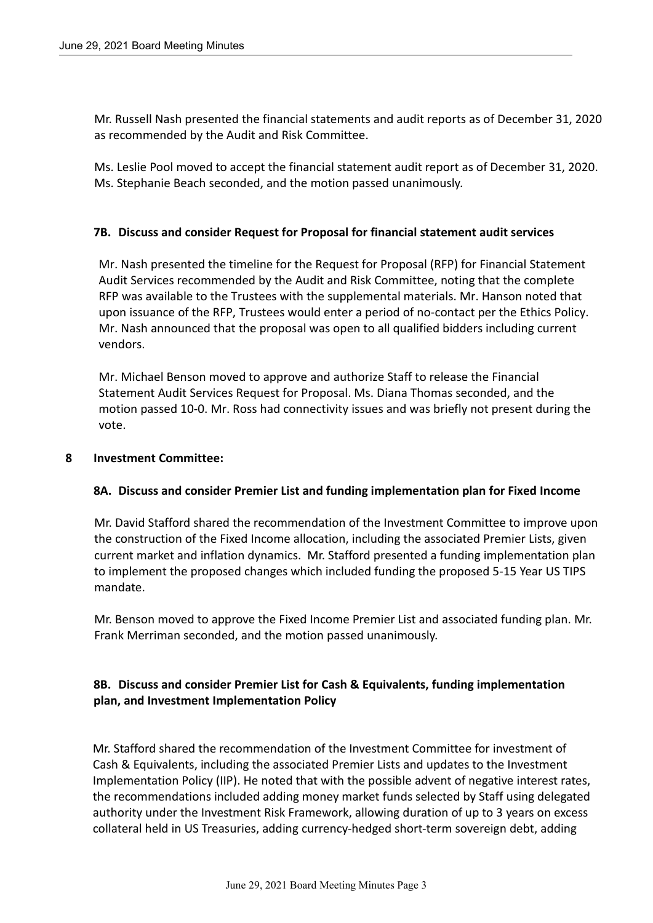Mr. Russell Nash presented the financial statements and audit reports as of December 31, 2020 as recommended by the Audit and Risk Committee.

Ms. Leslie Pool moved to accept the financial statement audit report as of December 31, 2020. Ms. Stephanie Beach seconded, and the motion passed unanimously.

#### **7B. Discuss and consider Request for Proposal for financial statement audit services**

Mr. Nash presented the timeline for the Request for Proposal (RFP) for Financial Statement Audit Services recommended by the Audit and Risk Committee, noting that the complete RFP was available to the Trustees with the supplemental materials. Mr. Hanson noted that upon issuance of the RFP, Trustees would enter a period of no-contact per the Ethics Policy. Mr. Nash announced that the proposal was open to all qualified bidders including current vendors.

Mr. Michael Benson moved to approve and authorize Staff to release the Financial Statement Audit Services Request for Proposal. Ms. Diana Thomas seconded, and the motion passed 10-0. Mr. Ross had connectivity issues and was briefly not present during the vote.

### **8 Investment Committee:**

## **8A. Discuss and consider Premier List and funding implementation plan for Fixed Income**

Mr. David Stafford shared the recommendation of the Investment Committee to improve upon the construction of the Fixed Income allocation, including the associated Premier Lists, given current market and inflation dynamics. Mr. Stafford presented a funding implementation plan to implement the proposed changes which included funding the proposed 5-15 Year US TIPS mandate.

Mr. Benson moved to approve the Fixed Income Premier List and associated funding plan. Mr. Frank Merriman seconded, and the motion passed unanimously.

## **8B. Discuss and consider Premier List for Cash & Equivalents, funding implementation plan, and Investment Implementation Policy**

Mr. Stafford shared the recommendation of the Investment Committee for investment of Cash & Equivalents, including the associated Premier Lists and updates to the Investment Implementation Policy (IIP). He noted that with the possible advent of negative interest rates, the recommendations included adding money market funds selected by Staff using delegated authority under the Investment Risk Framework, allowing duration of up to 3 years on excess collateral held in US Treasuries, adding currency-hedged short-term sovereign debt, adding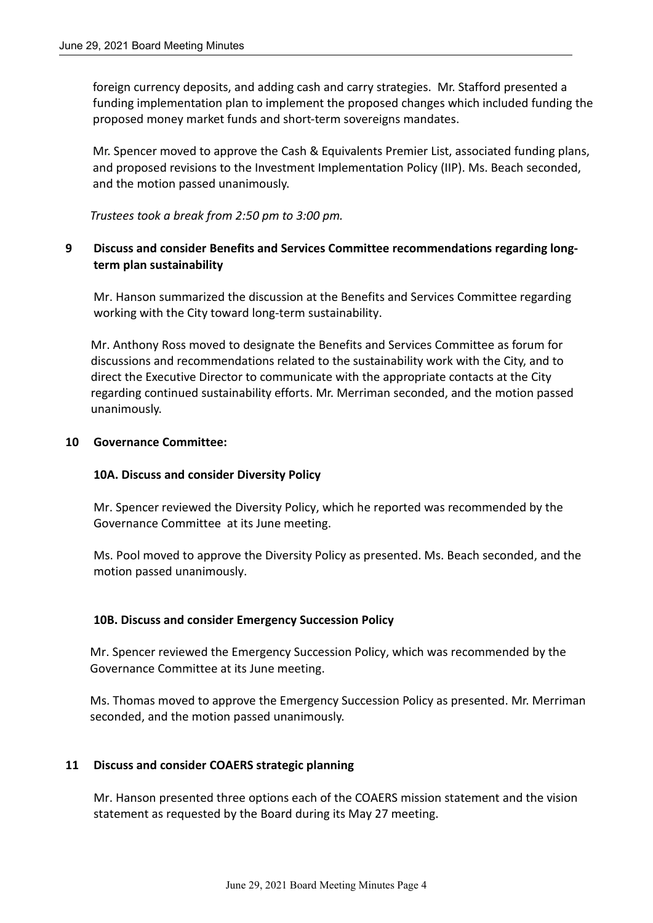foreign currency deposits, and adding cash and carry strategies. Mr. Stafford presented a funding implementation plan to implement the proposed changes which included funding the proposed money market funds and short-term sovereigns mandates.

Mr. Spencer moved to approve the Cash & Equivalents Premier List, associated funding plans, and proposed revisions to the Investment Implementation Policy (IIP). Ms. Beach seconded, and the motion passed unanimously.

*Trustees took a break from 2:50 pm to 3:00 pm.*

## **9 Discuss and consider Benefits and Services Committee recommendations regarding longterm plan sustainability**

Mr. Hanson summarized the discussion at the Benefits and Services Committee regarding working with the City toward long-term sustainability.

Mr. Anthony Ross moved to designate the Benefits and Services Committee as forum for discussions and recommendations related to the sustainability work with the City, and to direct the Executive Director to communicate with the appropriate contacts at the City regarding continued sustainability efforts. Mr. Merriman seconded, and the motion passed unanimously.

### **10 Governance Committee:**

## **10A. Discuss and consider Diversity Policy**

Mr. Spencer reviewed the Diversity Policy, which he reported was recommended by the Governance Committee at its June meeting.

Ms. Pool moved to approve the Diversity Policy as presented. Ms. Beach seconded, and the motion passed unanimously.

#### **10B. Discuss and consider Emergency Succession Policy**

Mr. Spencer reviewed the Emergency Succession Policy, which was recommended by the Governance Committee at its June meeting.

Ms. Thomas moved to approve the Emergency Succession Policy as presented. Mr. Merriman seconded, and the motion passed unanimously.

## **11 Discuss and consider COAERS strategic planning**

Mr. Hanson presented three options each of the COAERS mission statement and the vision statement as requested by the Board during its May 27 meeting.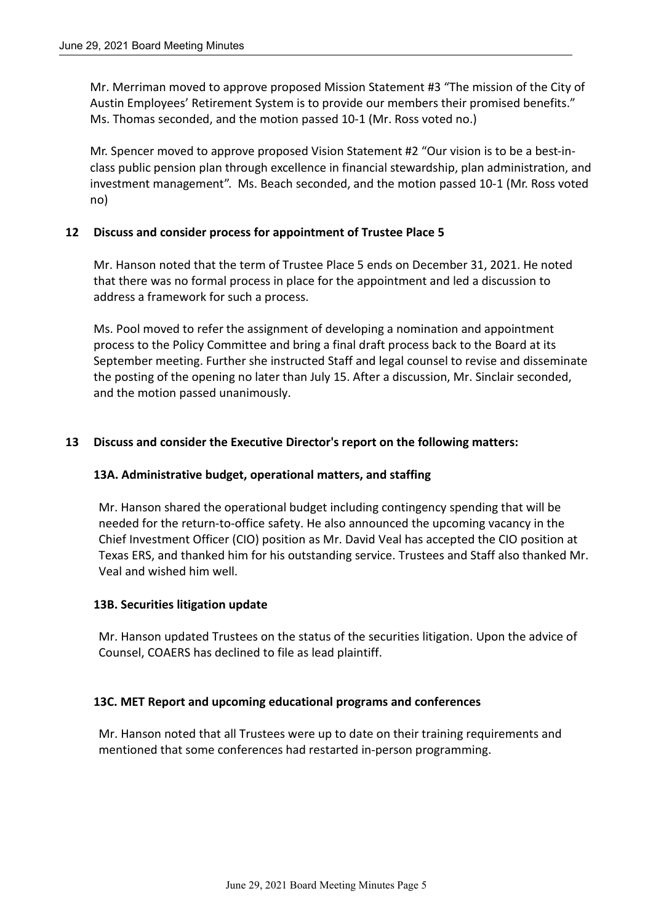Mr. Merriman moved to approve proposed Mission Statement #3 "The mission of the City of Austin Employees' Retirement System is to provide our members their promised benefits." Ms. Thomas seconded, and the motion passed 10-1 (Mr. Ross voted no.)

Mr. Spencer moved to approve proposed Vision Statement #2 "Our vision is to be a best-inclass public pension plan through excellence in financial stewardship, plan administration, and investment management". Ms. Beach seconded, and the motion passed 10-1 (Mr. Ross voted no)

### **12 Discuss and consider process for appointment of Trustee Place 5**

Mr. Hanson noted that the term of Trustee Place 5 ends on December 31, 2021. He noted that there was no formal process in place for the appointment and led a discussion to address a framework for such a process.

Ms. Pool moved to refer the assignment of developing a nomination and appointment process to the Policy Committee and bring a final draft process back to the Board at its September meeting. Further she instructed Staff and legal counsel to revise and disseminate the posting of the opening no later than July 15. After a discussion, Mr. Sinclair seconded, and the motion passed unanimously.

## **13 Discuss and consider the Executive Director's report on the following matters:**

#### **13A. Administrative budget, operational matters, and staffing**

Mr. Hanson shared the operational budget including contingency spending that will be needed for the return-to-office safety. He also announced the upcoming vacancy in the Chief Investment Officer (CIO) position as Mr. David Veal has accepted the CIO position at Texas ERS, and thanked him for his outstanding service. Trustees and Staff also thanked Mr. Veal and wished him well.

#### **13B. Securities litigation update**

Mr. Hanson updated Trustees on the status of the securities litigation. Upon the advice of Counsel, COAERS has declined to file as lead plaintiff.

#### **13C. MET Report and upcoming educational programs and conferences**

Mr. Hanson noted that all Trustees were up to date on their training requirements and mentioned that some conferences had restarted in-person programming.